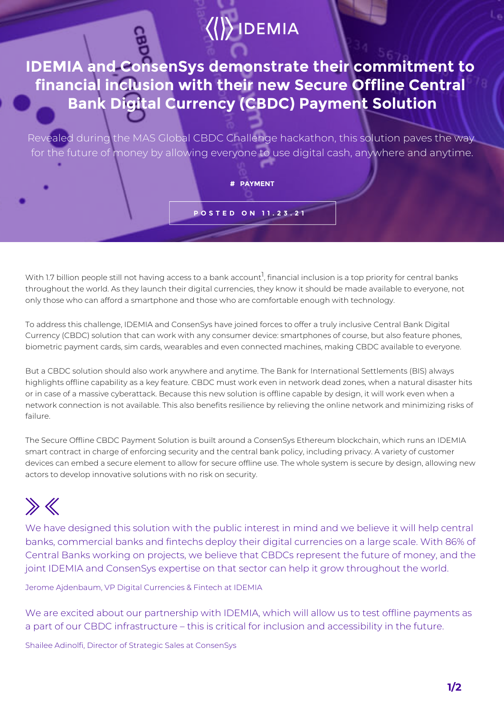## $\langle\langle\rangle\rangle$  IDEMIA

**IDEMIA and ConsenSys demonstrate their commitment to financial inclusion with their new Secure Offline Central Bank Digital Currency (CBDC) Payment Solution**

Revealed during the MAS Global CBDC Challenge hackathon, this solution paves the way for the future of money by allowing everyone to use digital cash, anywhere and anytime.

**# PAYMENT**

**POSTED ON 11.23.21**

With 1.7 billion people still not having access to a bank account $^{\rm l}$ , financial inclusion is a top priority for central banks throughout the world. As they launch their digital currencies, they know it should be made available to everyone, not only those who can afford a smartphone and those who are comfortable enough with technology.

To address this challenge, IDEMIA and ConsenSys have joined forces to offer a truly inclusive Central Bank Digital Currency (CBDC) solution that can work with any consumer device: smartphones of course, but also feature phones, biometric payment cards, sim cards, wearables and even connected machines, making CBDC available to everyone.

But a CBDC solution should also work anywhere and anytime. The Bank for International Settlements (BIS) always highlights offline capability as a key feature. CBDC must work even in network dead zones, when a natural disaster hits or in case of a massive cyberattack. Because this new solution is offline capable by design, it will work even when a network connection is not available. This also benefits resilience by relieving the online network and minimizing risks of failure.

The Secure Offline CBDC Payment Solution is built around a ConsenSys Ethereum blockchain, which runs an IDEMIA smart contract in charge of enforcing security and the central bank policy, including privacy. A variety of customer devices can embed a secure element to allow for secure offline use. The whole system is secure by design, allowing new actors to develop innovative solutions with no risk on security.

## $\gg \ll$

We have designed this solution with the public interest in mind and we believe it will help central banks, commercial banks and fintechs deploy their digital currencies on a large scale. With 86% of Central Banks working on projects, we believe that CBDCs represent the future of money, and the joint IDEMIA and ConsenSys expertise on that sector can help it grow throughout the world.

Jerome Ajdenbaum, VP Digital Currencies & Fintech at IDEMIA

We are excited about our partnership with IDEMIA, which will allow us to test offline payments as a part of our CBDC infrastructure – this is critical for inclusion and accessibility in the future.

Shailee Adinolfi, Director of Strategic Sales at ConsenSys